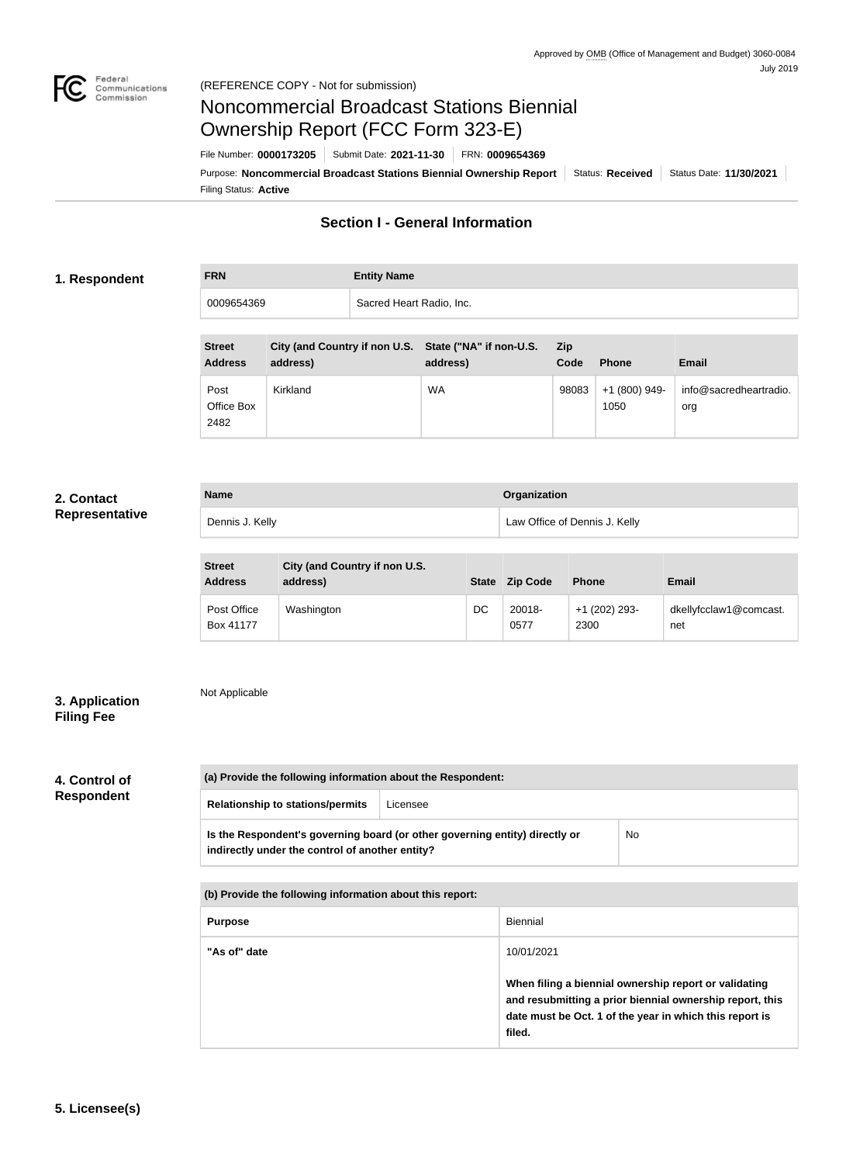

# Noncommercial Broadcast Stations Biennial Ownership Report (FCC Form 323-E)

Filing Status: **Active** Purpose: Noncommercial Broadcast Stations Biennial Ownership Report | Status: Received | Status Date: 11/30/2021 File Number: **0000173205** Submit Date: **2021-11-30** FRN: **0009654369**

# **Section I - General Information**

### **1. Respondent**

# **FRN Entity Name** 0009654369 Sacred Heart Radio, Inc.

| <b>Street</b><br><b>Address</b> | City (and Country if non U.S. State ("NA" if non-U.S.<br>address) | address)  | Zip<br>Code | <b>Phone</b>          | <b>Email</b>                  |
|---------------------------------|-------------------------------------------------------------------|-----------|-------------|-----------------------|-------------------------------|
| Post<br>Office Box<br>2482      | Kirkland                                                          | <b>WA</b> | 98083       | +1 (800) 949-<br>1050 | info@sacredheartradio.<br>org |

## **2. Contact Representative**

| <b>Name</b>     | Organization                  |
|-----------------|-------------------------------|
| Dennis J. Kelly | Law Office of Dennis J. Kelly |

| <b>Street</b><br><b>Address</b> | City (and Country if non U.S.<br>address) | <b>State</b> | <b>Zip Code</b> | <b>Phone</b>          | <b>Email</b>                  |
|---------------------------------|-------------------------------------------|--------------|-----------------|-----------------------|-------------------------------|
| Post Office<br>Box 41177        | Washington                                | DC           | 20018-<br>0577  | +1 (202) 293-<br>2300 | dkellyfcclaw1@comcast.<br>net |

# **3. Application Filing Fee**

Not Applicable

# **4. Control of Respondent**

| (a) Provide the following information about the Respondent:                                                                    |          |    |
|--------------------------------------------------------------------------------------------------------------------------------|----------|----|
| <b>Relationship to stations/permits</b>                                                                                        | Licensee |    |
| Is the Respondent's governing board (or other governing entity) directly or<br>indirectly under the control of another entity? |          | No |

| (b) Provide the following information about this report: |                                                                                                                                                                                        |
|----------------------------------------------------------|----------------------------------------------------------------------------------------------------------------------------------------------------------------------------------------|
| <b>Purpose</b>                                           | Biennial                                                                                                                                                                               |
| "As of" date                                             | 10/01/2021                                                                                                                                                                             |
|                                                          | When filing a biennial ownership report or validating<br>and resubmitting a prior biennial ownership report, this<br>date must be Oct. 1 of the year in which this report is<br>filed. |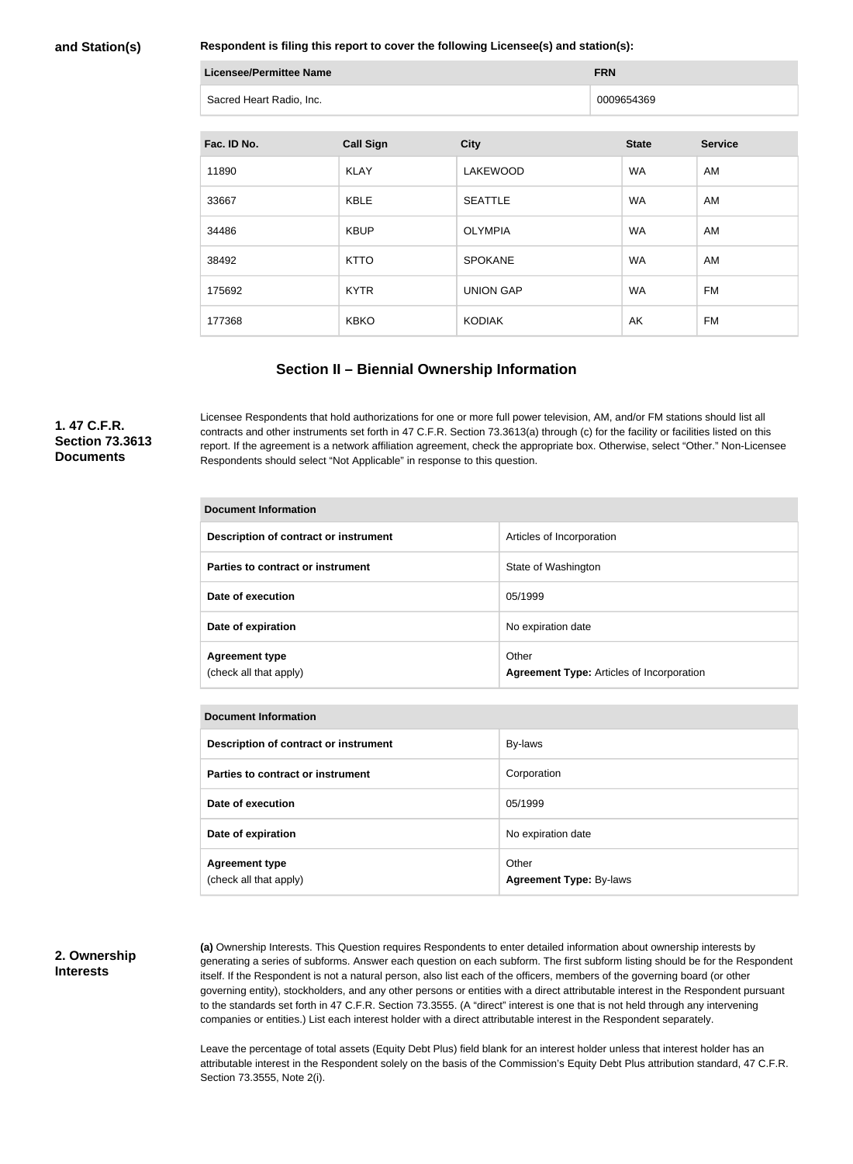#### **and Station(s)**

**Respondent is filing this report to cover the following Licensee(s) and station(s):**

| <b>Licensee/Permittee Name</b> | <b>FRN</b> |
|--------------------------------|------------|
| Sacred Heart Radio, Inc.       | 0009654369 |

| Fac. ID No. | <b>Call Sign</b> | <b>City</b>      | <b>State</b> | <b>Service</b> |
|-------------|------------------|------------------|--------------|----------------|
| 11890       | <b>KLAY</b>      | <b>LAKEWOOD</b>  | <b>WA</b>    | AM             |
| 33667       | <b>KBLE</b>      | <b>SEATTLE</b>   | <b>WA</b>    | AM             |
| 34486       | <b>KBUP</b>      | <b>OLYMPIA</b>   | <b>WA</b>    | AM             |
| 38492       | <b>KTTO</b>      | <b>SPOKANE</b>   | <b>WA</b>    | AM             |
| 175692      | <b>KYTR</b>      | <b>UNION GAP</b> | <b>WA</b>    | <b>FM</b>      |
| 177368      | <b>KBKO</b>      | <b>KODIAK</b>    | AK           | FM             |

### **Section II – Biennial Ownership Information**

### **1. 47 C.F.R. Section 73.3613 Documents**

Licensee Respondents that hold authorizations for one or more full power television, AM, and/or FM stations should list all contracts and other instruments set forth in 47 C.F.R. Section 73.3613(a) through (c) for the facility or facilities listed on this report. If the agreement is a network affiliation agreement, check the appropriate box. Otherwise, select "Other." Non-Licensee Respondents should select "Not Applicable" in response to this question.

| <b>Document Information</b>                     |                                                           |  |
|-------------------------------------------------|-----------------------------------------------------------|--|
| Description of contract or instrument           | Articles of Incorporation                                 |  |
| Parties to contract or instrument               | State of Washington                                       |  |
| Date of execution                               | 05/1999                                                   |  |
| Date of expiration                              | No expiration date                                        |  |
| <b>Agreement type</b><br>(check all that apply) | Other<br><b>Agreement Type: Articles of Incorporation</b> |  |

|  | <b>Document Information</b> |
|--|-----------------------------|
|  |                             |

| Description of contract or instrument           | By-laws                                 |
|-------------------------------------------------|-----------------------------------------|
| Parties to contract or instrument               | Corporation                             |
| Date of execution                               | 05/1999                                 |
| Date of expiration                              | No expiration date                      |
| <b>Agreement type</b><br>(check all that apply) | Other<br><b>Agreement Type: By-laws</b> |

#### **2. Ownership Interests**

**(a)** Ownership Interests. This Question requires Respondents to enter detailed information about ownership interests by generating a series of subforms. Answer each question on each subform. The first subform listing should be for the Respondent itself. If the Respondent is not a natural person, also list each of the officers, members of the governing board (or other governing entity), stockholders, and any other persons or entities with a direct attributable interest in the Respondent pursuant to the standards set forth in 47 C.F.R. Section 73.3555. (A "direct" interest is one that is not held through any intervening companies or entities.) List each interest holder with a direct attributable interest in the Respondent separately.

Leave the percentage of total assets (Equity Debt Plus) field blank for an interest holder unless that interest holder has an attributable interest in the Respondent solely on the basis of the Commission's Equity Debt Plus attribution standard, 47 C.F.R. Section 73.3555, Note 2(i).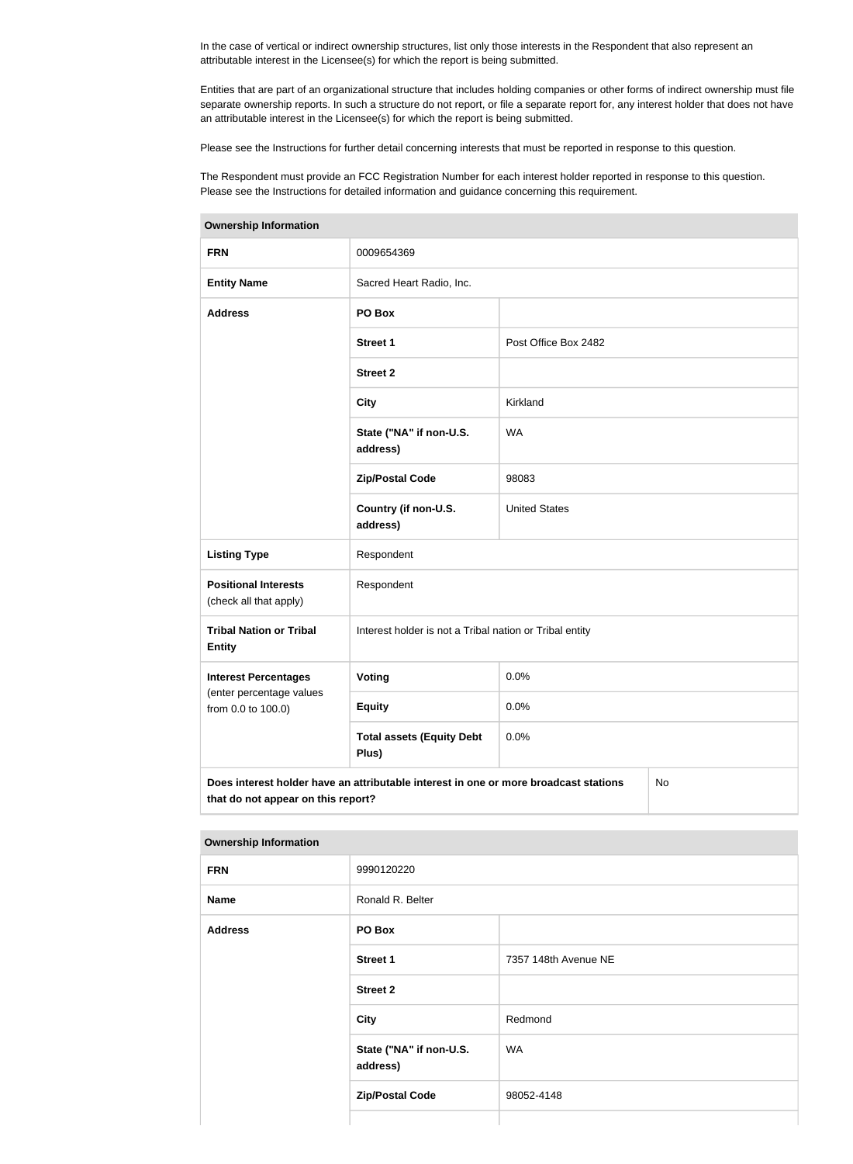In the case of vertical or indirect ownership structures, list only those interests in the Respondent that also represent an attributable interest in the Licensee(s) for which the report is being submitted.

Entities that are part of an organizational structure that includes holding companies or other forms of indirect ownership must file separate ownership reports. In such a structure do not report, or file a separate report for, any interest holder that does not have an attributable interest in the Licensee(s) for which the report is being submitted.

Please see the Instructions for further detail concerning interests that must be reported in response to this question.

The Respondent must provide an FCC Registration Number for each interest holder reported in response to this question. Please see the Instructions for detailed information and guidance concerning this requirement.

| <b>FRN</b>                                                                                                                       | 0009654369                                              |                      |  |
|----------------------------------------------------------------------------------------------------------------------------------|---------------------------------------------------------|----------------------|--|
| <b>Entity Name</b>                                                                                                               | Sacred Heart Radio, Inc.                                |                      |  |
| <b>Address</b>                                                                                                                   | PO Box                                                  |                      |  |
|                                                                                                                                  | Street 1                                                | Post Office Box 2482 |  |
|                                                                                                                                  | <b>Street 2</b>                                         |                      |  |
|                                                                                                                                  | <b>City</b>                                             | Kirkland             |  |
|                                                                                                                                  | State ("NA" if non-U.S.<br>address)                     | <b>WA</b>            |  |
|                                                                                                                                  | <b>Zip/Postal Code</b>                                  | 98083                |  |
|                                                                                                                                  | Country (if non-U.S.<br>address)                        | <b>United States</b> |  |
| <b>Listing Type</b>                                                                                                              | Respondent                                              |                      |  |
| <b>Positional Interests</b><br>(check all that apply)                                                                            | Respondent                                              |                      |  |
| <b>Tribal Nation or Tribal</b><br><b>Entity</b>                                                                                  | Interest holder is not a Tribal nation or Tribal entity |                      |  |
| <b>Interest Percentages</b>                                                                                                      | <b>Voting</b>                                           | 0.0%                 |  |
| (enter percentage values<br>from 0.0 to 100.0)                                                                                   | <b>Equity</b>                                           | 0.0%                 |  |
|                                                                                                                                  | <b>Total assets (Equity Debt</b><br>Plus)               | 0.0%                 |  |
| Does interest holder have an attributable interest in one or more broadcast stations<br>No<br>that do not appear on this report? |                                                         |                      |  |

**Ownership Information**

| <b>FRN</b>     | 9990120220                          |                      |
|----------------|-------------------------------------|----------------------|
| <b>Name</b>    | Ronald R. Belter                    |                      |
| <b>Address</b> | PO Box                              |                      |
|                | <b>Street 1</b>                     | 7357 148th Avenue NE |
|                | <b>Street 2</b>                     |                      |
|                | City                                | Redmond              |
|                | State ("NA" if non-U.S.<br>address) | <b>WA</b>            |
|                | <b>Zip/Postal Code</b>              | 98052-4148           |
|                |                                     |                      |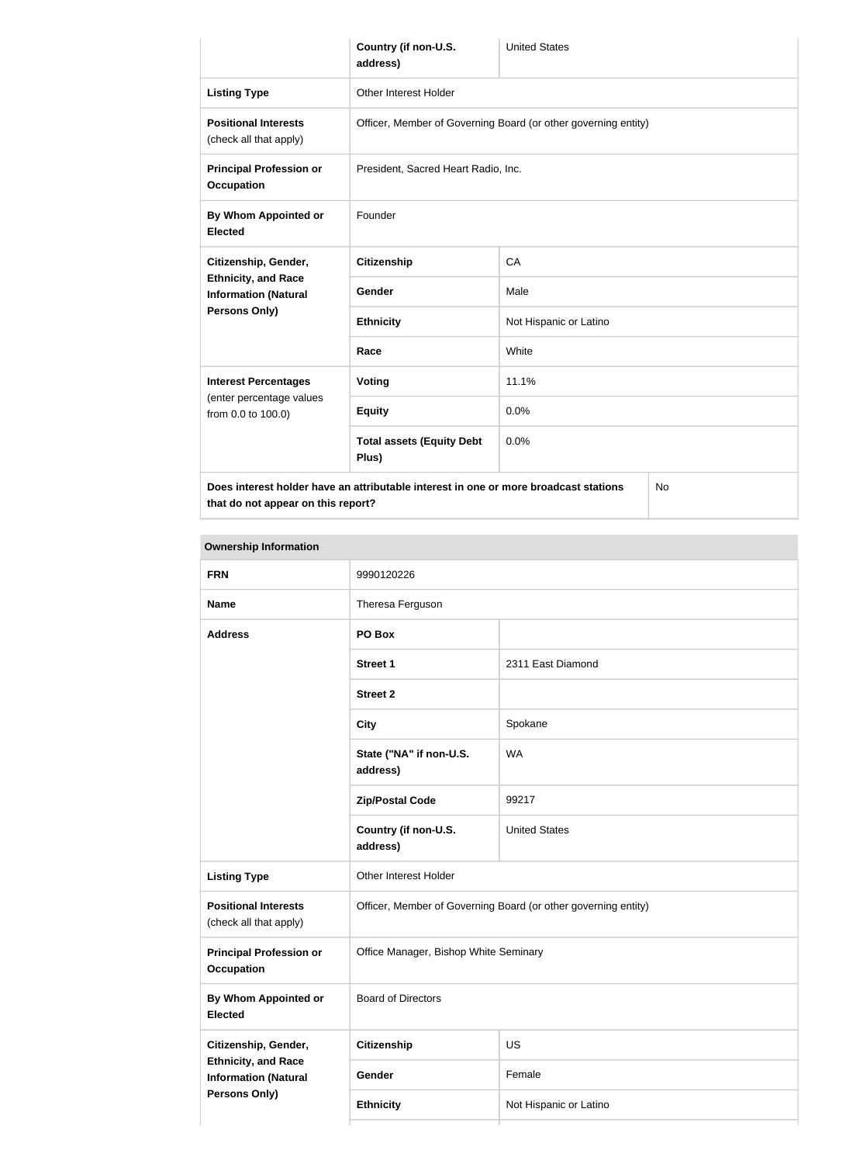|                                                                                      | Country (if non-U.S.<br>address)                               | <b>United States</b>   |           |
|--------------------------------------------------------------------------------------|----------------------------------------------------------------|------------------------|-----------|
| <b>Listing Type</b>                                                                  | Other Interest Holder                                          |                        |           |
| <b>Positional Interests</b><br>(check all that apply)                                | Officer, Member of Governing Board (or other governing entity) |                        |           |
| <b>Principal Profession or</b><br><b>Occupation</b>                                  | President, Sacred Heart Radio, Inc.                            |                        |           |
| <b>By Whom Appointed or</b><br><b>Elected</b>                                        | Founder                                                        |                        |           |
| Citizenship, Gender,                                                                 | <b>Citizenship</b>                                             | CA                     |           |
| <b>Ethnicity, and Race</b><br><b>Information (Natural</b><br>Persons Only)           | <b>Gender</b>                                                  | Male                   |           |
|                                                                                      | <b>Ethnicity</b>                                               | Not Hispanic or Latino |           |
|                                                                                      | Race                                                           | White                  |           |
| <b>Interest Percentages</b>                                                          | Voting                                                         | 11.1%                  |           |
| (enter percentage values<br>from 0.0 to 100.0)                                       | <b>Equity</b>                                                  | 0.0%                   |           |
|                                                                                      | <b>Total assets (Equity Debt</b><br>Plus)                      | 0.0%                   |           |
| Does interest holder have an attributable interest in one or more broadcast stations |                                                                |                        | <b>No</b> |

**that do not appear on this report?**

**Ownership Information FRN** 9990120226 **Name** Theresa Ferguson **Address PO Box Street 1** 2311 East Diamond **Street 2 City** Spokane **State ("NA" if non-U.S. address)** WA **Zip/Postal Code** 99217 **Country (if non-U.S. address)** United States **Listing Type Circuit Constructs** Other Interest Holder **Positional Interests** (check all that apply) Officer, Member of Governing Board (or other governing entity) **Principal Profession or Occupation** Office Manager, Bishop White Seminary **By Whom Appointed or Elected** Board of Directors **Citizenship, Gender, Ethnicity, and Race Information (Natural Persons Only) Citizenship** US Gender Female **Ethnicity** Not Hispanic or Latino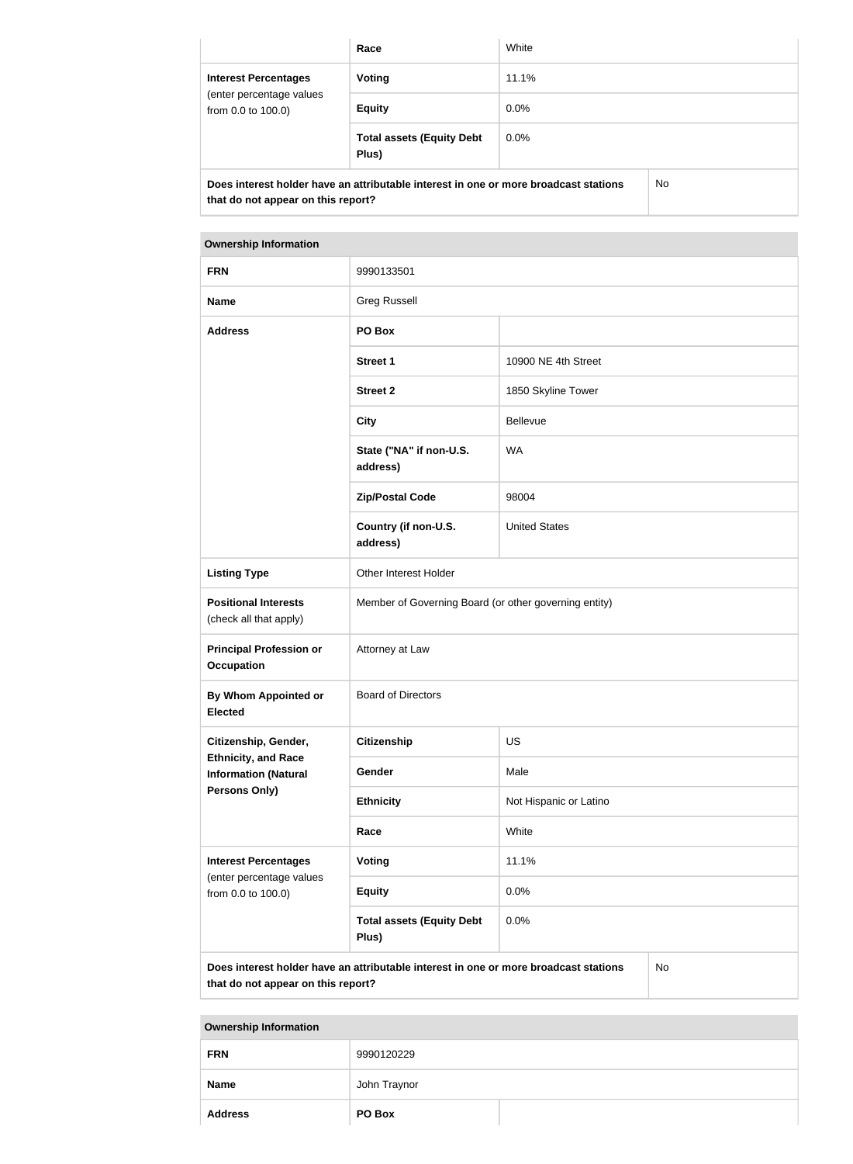|                                                | Race                                                                                 | White       |
|------------------------------------------------|--------------------------------------------------------------------------------------|-------------|
| <b>Interest Percentages</b>                    | Voting                                                                               | 11.1%       |
| (enter percentage values<br>from 0.0 to 100.0) | <b>Equity</b>                                                                        | $0.0\%$     |
|                                                | <b>Total assets (Equity Debt</b><br>Plus)                                            | 0.0%        |
|                                                | Does interest holder hous an ettributeble interest in one or more broadcast stations | $N_{\rm A}$ |

**Does interest holder have an attributable interest in one or more broadcast stations that do not appear on this report?**

No

**Ownership Information FRN** 9990133501 **Name** Greg Russell **Address PO Box Street 1** 10900 NE 4th Street **Street 2** 1850 Skyline Tower **City Bellevue State ("NA" if non-U.S. address)** WA **Zip/Postal Code** 98004 **Country (if non-U.S. address)** United States Listing Type **Conservation Conservation** Other Interest Holder **Positional Interests** (check all that apply) Member of Governing Board (or other governing entity) **Principal Profession or Occupation** Attorney at Law **By Whom Appointed or Elected** Board of Directors **Citizenship, Gender, Ethnicity, and Race Information (Natural Persons Only) Citizenship** US Gender Male **Ethnicity** Not Hispanic or Latino **Race** White **Interest Percentages** (enter percentage values from 0.0 to 100.0) **Voting** 11.1% **Equity** 0.0% **Total assets (Equity Debt Plus)** 0.0% **Does interest holder have an attributable interest in one or more broadcast stations**  No

**that do not appear on this report?**

| <b>FRN</b>     | 9990120229   |  |
|----------------|--------------|--|
| <b>Name</b>    | John Traynor |  |
| <b>Address</b> | PO Box       |  |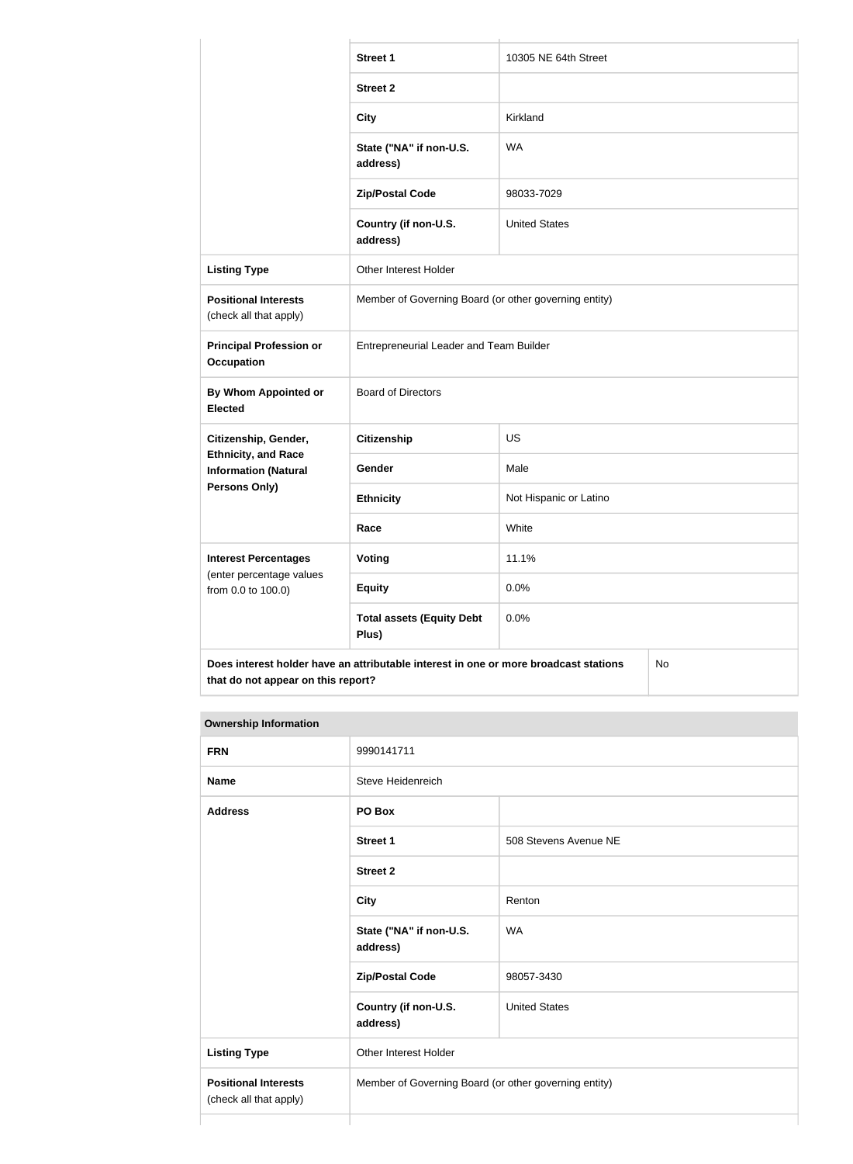|                                                                                            | <b>Street 1</b>                                       | 10305 NE 64th Street   |  |
|--------------------------------------------------------------------------------------------|-------------------------------------------------------|------------------------|--|
|                                                                                            | <b>Street 2</b>                                       |                        |  |
|                                                                                            | <b>City</b>                                           | Kirkland               |  |
|                                                                                            | State ("NA" if non-U.S.<br>address)                   | <b>WA</b>              |  |
|                                                                                            | <b>Zip/Postal Code</b>                                | 98033-7029             |  |
|                                                                                            | Country (if non-U.S.<br>address)                      | <b>United States</b>   |  |
| <b>Listing Type</b>                                                                        | Other Interest Holder                                 |                        |  |
| <b>Positional Interests</b><br>(check all that apply)                                      | Member of Governing Board (or other governing entity) |                        |  |
| <b>Principal Profession or</b><br><b>Occupation</b>                                        | Entrepreneurial Leader and Team Builder               |                        |  |
| <b>By Whom Appointed or</b><br><b>Elected</b>                                              | <b>Board of Directors</b>                             |                        |  |
| Citizenship, Gender,                                                                       | <b>Citizenship</b>                                    | US                     |  |
| <b>Ethnicity, and Race</b><br><b>Information (Natural</b>                                  | Gender                                                | Male                   |  |
| Persons Only)                                                                              | <b>Ethnicity</b>                                      | Not Hispanic or Latino |  |
|                                                                                            | Race                                                  | White                  |  |
| <b>Interest Percentages</b>                                                                | <b>Voting</b>                                         | 11.1%                  |  |
| (enter percentage values<br>from 0.0 to 100.0)                                             | <b>Equity</b>                                         | 0.0%                   |  |
|                                                                                            | <b>Total assets (Equity Debt</b><br>Plus)             | 0.0%                   |  |
| Does interest holder have an attributable interest in one or more broadcast stations<br>No |                                                       |                        |  |

**that do not appear on this report?**

| <b>Ownership Information</b>                          |                                                       |                       |
|-------------------------------------------------------|-------------------------------------------------------|-----------------------|
| <b>FRN</b>                                            | 9990141711                                            |                       |
| <b>Name</b>                                           | Steve Heidenreich                                     |                       |
| <b>Address</b>                                        | PO Box                                                |                       |
|                                                       | <b>Street 1</b>                                       | 508 Stevens Avenue NE |
|                                                       | <b>Street 2</b>                                       |                       |
|                                                       | <b>City</b>                                           | Renton                |
|                                                       | State ("NA" if non-U.S.<br>address)                   | <b>WA</b>             |
|                                                       | <b>Zip/Postal Code</b>                                | 98057-3430            |
|                                                       | Country (if non-U.S.<br>address)                      | <b>United States</b>  |
| <b>Listing Type</b>                                   | <b>Other Interest Holder</b>                          |                       |
| <b>Positional Interests</b><br>(check all that apply) | Member of Governing Board (or other governing entity) |                       |
|                                                       |                                                       |                       |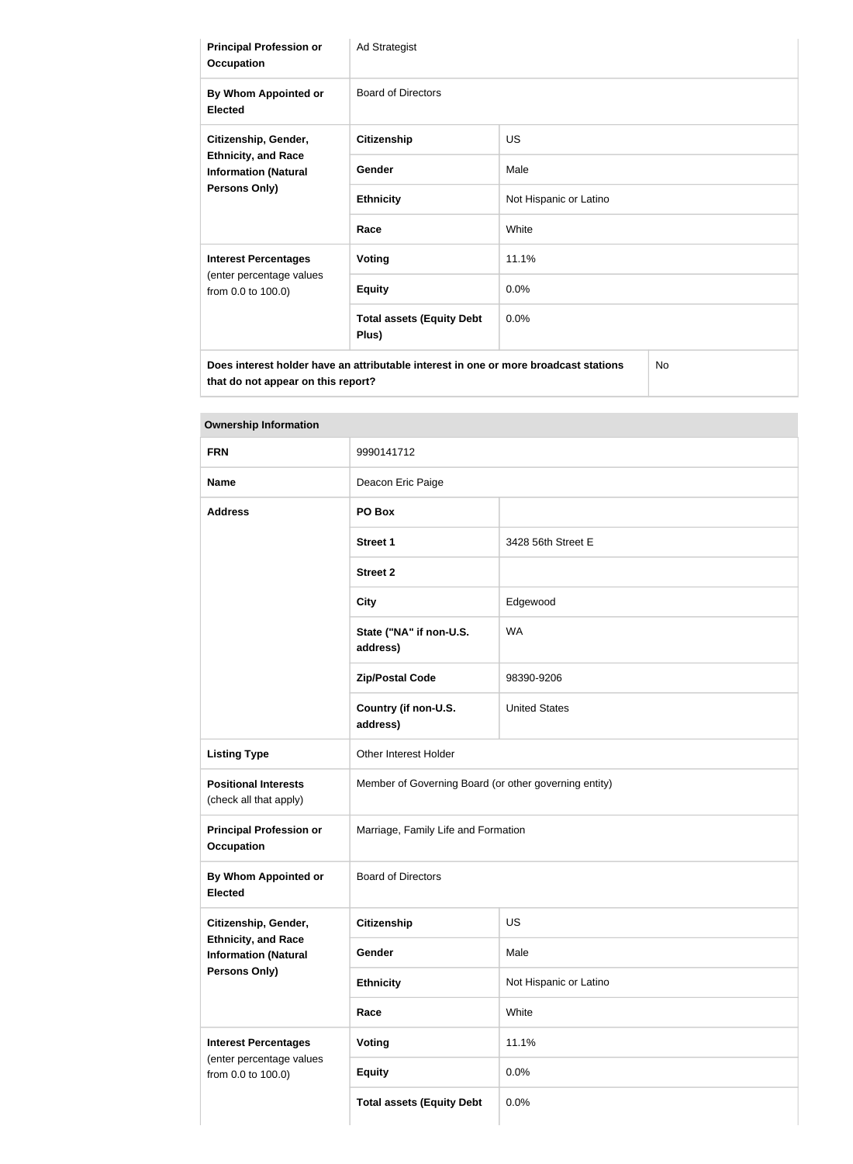| <b>Principal Profession or</b><br><b>Occupation</b>                               | Ad Strategist                                                                        |                        |
|-----------------------------------------------------------------------------------|--------------------------------------------------------------------------------------|------------------------|
| By Whom Appointed or<br><b>Elected</b>                                            | <b>Board of Directors</b>                                                            |                        |
| Citizenship, Gender,                                                              | <b>Citizenship</b>                                                                   | <b>US</b>              |
| <b>Ethnicity, and Race</b><br><b>Information (Natural</b><br><b>Persons Only)</b> | Gender                                                                               | Male                   |
|                                                                                   | <b>Ethnicity</b>                                                                     | Not Hispanic or Latino |
|                                                                                   | Race                                                                                 | White                  |
| <b>Interest Percentages</b>                                                       | <b>Voting</b>                                                                        | 11.1%                  |
| (enter percentage values<br>from 0.0 to 100.0)                                    | <b>Equity</b>                                                                        | 0.0%                   |
|                                                                                   | <b>Total assets (Equity Debt</b><br>Plus)                                            | 0.0%                   |
| that do not appear on this report?                                                | Does interest holder have an attributable interest in one or more broadcast stations | No                     |

| <b>FRN</b>                                                | 9990141712                                            |                        |
|-----------------------------------------------------------|-------------------------------------------------------|------------------------|
| <b>Name</b>                                               | Deacon Eric Paige                                     |                        |
| <b>Address</b>                                            | PO Box                                                |                        |
|                                                           | <b>Street 1</b>                                       | 3428 56th Street E     |
|                                                           | <b>Street 2</b>                                       |                        |
|                                                           | <b>City</b>                                           | Edgewood               |
|                                                           | State ("NA" if non-U.S.<br>address)                   | <b>WA</b>              |
|                                                           | <b>Zip/Postal Code</b>                                | 98390-9206             |
|                                                           | Country (if non-U.S.<br>address)                      | <b>United States</b>   |
| <b>Listing Type</b>                                       | Other Interest Holder                                 |                        |
| <b>Positional Interests</b><br>(check all that apply)     | Member of Governing Board (or other governing entity) |                        |
| <b>Principal Profession or</b><br><b>Occupation</b>       | Marriage, Family Life and Formation                   |                        |
| By Whom Appointed or<br><b>Elected</b>                    | <b>Board of Directors</b>                             |                        |
| Citizenship, Gender,                                      | <b>Citizenship</b>                                    | US                     |
| <b>Ethnicity, and Race</b><br><b>Information (Natural</b> | Gender                                                | Male                   |
| Persons Only)                                             | <b>Ethnicity</b>                                      | Not Hispanic or Latino |
|                                                           | Race                                                  | White                  |
| <b>Interest Percentages</b>                               | <b>Voting</b>                                         | 11.1%                  |
| (enter percentage values<br>from 0.0 to 100.0)            | <b>Equity</b>                                         | 0.0%                   |
|                                                           | <b>Total assets (Equity Debt</b>                      | 0.0%                   |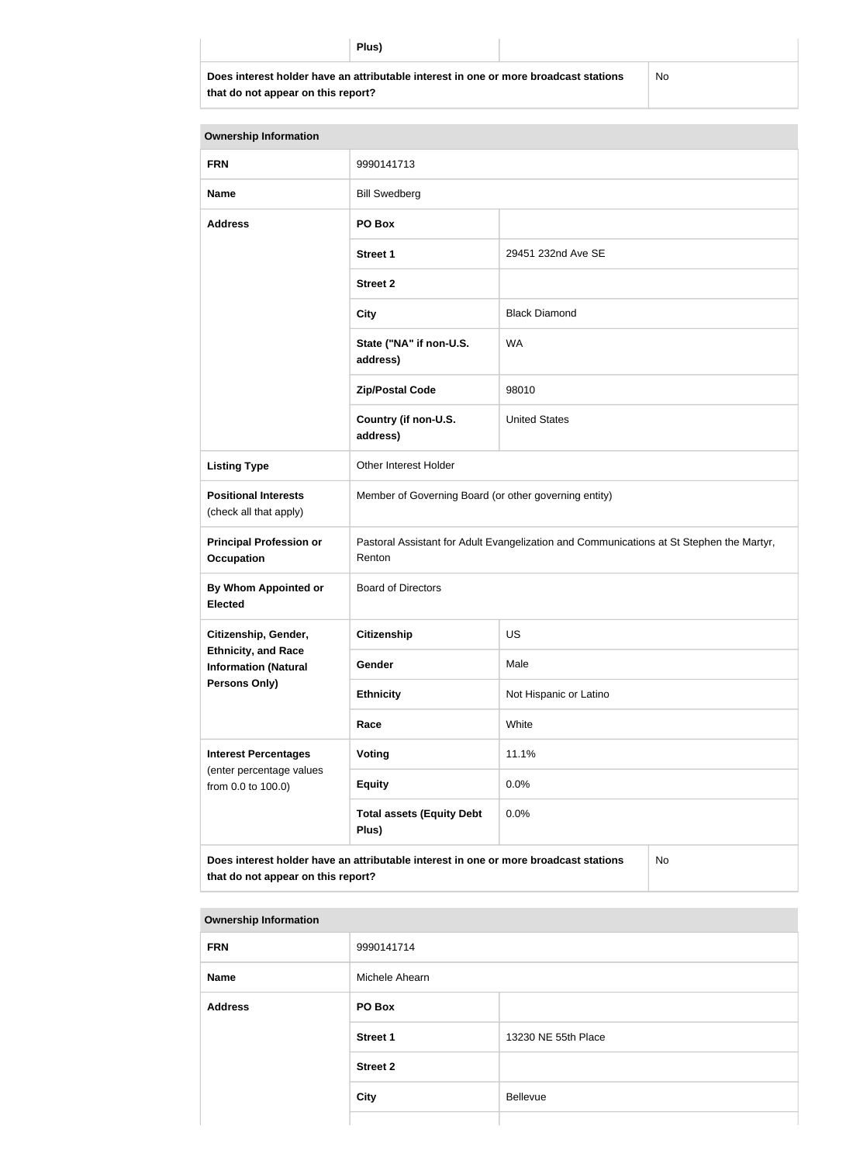**Does interest holder have an attributable interest in one or more broadcast stations that do not appear on this report?**

No

| <b>Ownership Information</b>                              |                                                                                                    |                        |    |
|-----------------------------------------------------------|----------------------------------------------------------------------------------------------------|------------------------|----|
| <b>FRN</b>                                                | 9990141713                                                                                         |                        |    |
| <b>Name</b>                                               | <b>Bill Swedberg</b>                                                                               |                        |    |
| <b>Address</b>                                            | PO Box                                                                                             |                        |    |
|                                                           | <b>Street 1</b>                                                                                    | 29451 232nd Ave SE     |    |
|                                                           | <b>Street 2</b>                                                                                    |                        |    |
|                                                           | <b>City</b>                                                                                        | <b>Black Diamond</b>   |    |
|                                                           | State ("NA" if non-U.S.<br>address)                                                                | <b>WA</b>              |    |
|                                                           | <b>Zip/Postal Code</b>                                                                             | 98010                  |    |
|                                                           | Country (if non-U.S.<br>address)                                                                   | <b>United States</b>   |    |
| <b>Listing Type</b>                                       | Other Interest Holder                                                                              |                        |    |
| <b>Positional Interests</b><br>(check all that apply)     | Member of Governing Board (or other governing entity)                                              |                        |    |
| <b>Principal Profession or</b><br><b>Occupation</b>       | Pastoral Assistant for Adult Evangelization and Communications at St Stephen the Martyr,<br>Renton |                        |    |
| <b>By Whom Appointed or</b><br><b>Elected</b>             | <b>Board of Directors</b>                                                                          |                        |    |
| Citizenship, Gender,                                      | <b>Citizenship</b>                                                                                 | <b>US</b>              |    |
| <b>Ethnicity, and Race</b><br><b>Information (Natural</b> | Gender                                                                                             | Male                   |    |
| Persons Only)                                             | <b>Ethnicity</b>                                                                                   | Not Hispanic or Latino |    |
|                                                           | White<br>Race                                                                                      |                        |    |
| <b>Interest Percentages</b>                               | Voting                                                                                             | 11.1%                  |    |
| (enter percentage values<br>from 0.0 to 100.0)            | <b>Equity</b>                                                                                      | 0.0%                   |    |
|                                                           | <b>Total assets (Equity Debt</b><br>Plus)                                                          | 0.0%                   |    |
| that do not appear on this report?                        | Does interest holder have an attributable interest in one or more broadcast stations               |                        | No |

| <b>FRN</b>     | 9990141714      |                     |
|----------------|-----------------|---------------------|
| Name           | Michele Ahearn  |                     |
| <b>Address</b> | PO Box          |                     |
|                | <b>Street 1</b> | 13230 NE 55th Place |
|                | <b>Street 2</b> |                     |
|                | <b>City</b>     | Bellevue            |
|                |                 |                     |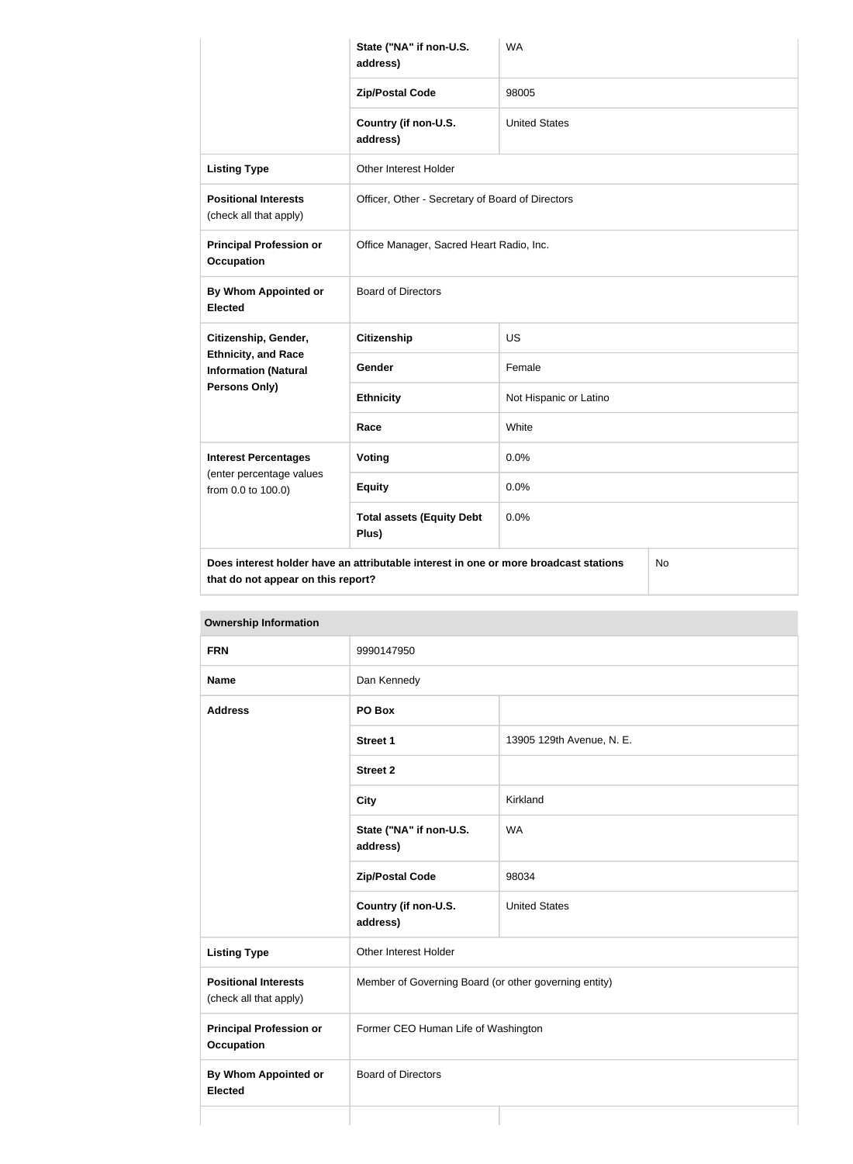|                                                           | State ("NA" if non-U.S.<br>address)                                                  | <b>WA</b>              |  |
|-----------------------------------------------------------|--------------------------------------------------------------------------------------|------------------------|--|
|                                                           | <b>Zip/Postal Code</b>                                                               | 98005                  |  |
|                                                           | Country (if non-U.S.<br>address)                                                     | <b>United States</b>   |  |
| <b>Listing Type</b>                                       | Other Interest Holder                                                                |                        |  |
| <b>Positional Interests</b><br>(check all that apply)     | Officer, Other - Secretary of Board of Directors                                     |                        |  |
| <b>Principal Profession or</b><br><b>Occupation</b>       | Office Manager, Sacred Heart Radio, Inc.                                             |                        |  |
| <b>By Whom Appointed or</b><br><b>Elected</b>             | <b>Board of Directors</b>                                                            |                        |  |
| Citizenship, Gender,                                      | <b>Citizenship</b>                                                                   | <b>US</b>              |  |
| <b>Ethnicity, and Race</b><br><b>Information (Natural</b> | Gender                                                                               | Female                 |  |
| <b>Persons Only)</b>                                      | <b>Ethnicity</b>                                                                     | Not Hispanic or Latino |  |
|                                                           | Race                                                                                 | White                  |  |
| <b>Interest Percentages</b>                               | Voting                                                                               | 0.0%                   |  |
| (enter percentage values<br>from 0.0 to 100.0)            | <b>Equity</b>                                                                        | 0.0%                   |  |
|                                                           | <b>Total assets (Equity Debt</b><br>Plus)                                            | 0.0%                   |  |
| that do not appear on this report?                        | Does interest holder have an attributable interest in one or more broadcast stations | No                     |  |

| <b>Ownership Information</b> |
|------------------------------|
|------------------------------|

| <b>FRN</b>                                            | 9990147950                                            |                           |  |
|-------------------------------------------------------|-------------------------------------------------------|---------------------------|--|
| <b>Name</b>                                           | Dan Kennedy                                           |                           |  |
| <b>Address</b>                                        | PO Box                                                |                           |  |
|                                                       | Street 1                                              | 13905 129th Avenue, N. E. |  |
|                                                       | <b>Street 2</b>                                       |                           |  |
|                                                       | <b>City</b>                                           | Kirkland                  |  |
|                                                       | State ("NA" if non-U.S.<br>address)                   | <b>WA</b>                 |  |
|                                                       | <b>Zip/Postal Code</b>                                | 98034                     |  |
|                                                       | Country (if non-U.S.<br>address)                      | <b>United States</b>      |  |
| <b>Listing Type</b>                                   | Other Interest Holder                                 |                           |  |
| <b>Positional Interests</b><br>(check all that apply) | Member of Governing Board (or other governing entity) |                           |  |
| <b>Principal Profession or</b><br><b>Occupation</b>   | Former CEO Human Life of Washington                   |                           |  |
| <b>By Whom Appointed or</b><br><b>Elected</b>         | <b>Board of Directors</b>                             |                           |  |
|                                                       |                                                       |                           |  |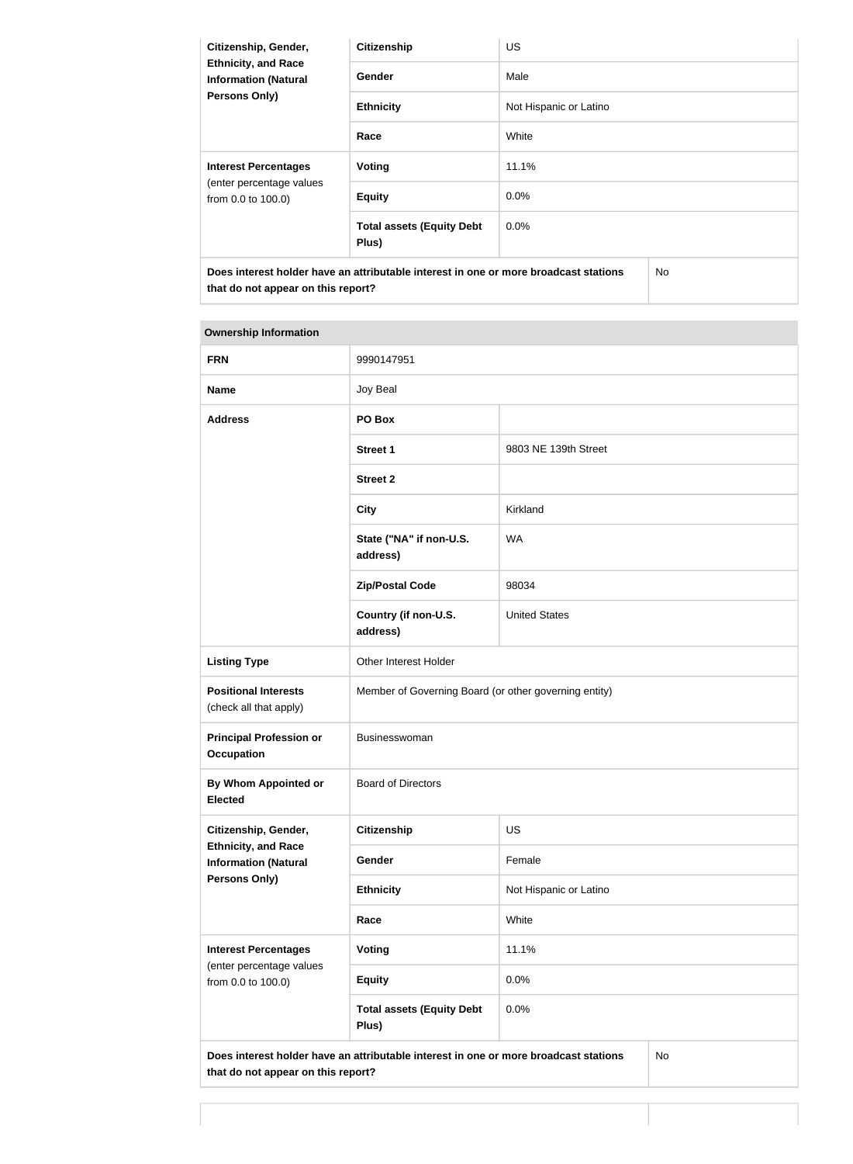| Citizenship, Gender,<br><b>Ethnicity, and Race</b><br><b>Information (Natural</b><br><b>Persons Only)</b> | <b>Citizenship</b>                        | <b>US</b>              |  |
|-----------------------------------------------------------------------------------------------------------|-------------------------------------------|------------------------|--|
|                                                                                                           | Gender                                    | Male                   |  |
|                                                                                                           | <b>Ethnicity</b>                          | Not Hispanic or Latino |  |
|                                                                                                           | Race                                      | White                  |  |
| <b>Interest Percentages</b><br>(enter percentage values<br>from 0.0 to 100.0)                             | Voting                                    | 11.1%                  |  |
|                                                                                                           | <b>Equity</b>                             | $0.0\%$                |  |
|                                                                                                           | <b>Total assets (Equity Debt</b><br>Plus) | $0.0\%$                |  |
| Does interest holder have an attributable interest in one or more broadcast stations                      |                                           | No.                    |  |

| <b>Ownership Information</b> |
|------------------------------|
|                              |
|                              |

**that do not appear on this report?**

| <b>FRN</b>                                                                                                                       | 9990147951                                            |                        |  |
|----------------------------------------------------------------------------------------------------------------------------------|-------------------------------------------------------|------------------------|--|
| <b>Name</b>                                                                                                                      | Joy Beal                                              |                        |  |
| <b>Address</b>                                                                                                                   | PO Box                                                |                        |  |
|                                                                                                                                  | <b>Street 1</b>                                       | 9803 NE 139th Street   |  |
|                                                                                                                                  | <b>Street 2</b>                                       |                        |  |
|                                                                                                                                  | <b>City</b>                                           | Kirkland               |  |
|                                                                                                                                  | State ("NA" if non-U.S.<br>address)                   | <b>WA</b>              |  |
|                                                                                                                                  | <b>Zip/Postal Code</b>                                | 98034                  |  |
|                                                                                                                                  | Country (if non-U.S.<br>address)                      | <b>United States</b>   |  |
| <b>Listing Type</b>                                                                                                              | Other Interest Holder                                 |                        |  |
| <b>Positional Interests</b><br>(check all that apply)                                                                            | Member of Governing Board (or other governing entity) |                        |  |
| <b>Principal Profession or</b><br><b>Occupation</b>                                                                              | Businesswoman                                         |                        |  |
| By Whom Appointed or<br><b>Elected</b>                                                                                           | <b>Board of Directors</b>                             |                        |  |
| Citizenship, Gender,                                                                                                             | Citizenship                                           | US                     |  |
| <b>Ethnicity, and Race</b><br><b>Information (Natural</b>                                                                        | Gender                                                | Female                 |  |
| <b>Persons Only)</b>                                                                                                             | <b>Ethnicity</b>                                      | Not Hispanic or Latino |  |
|                                                                                                                                  | Race                                                  | White                  |  |
| <b>Interest Percentages</b><br>(enter percentage values<br>from 0.0 to 100.0)                                                    | <b>Voting</b>                                         | 11.1%                  |  |
|                                                                                                                                  | <b>Equity</b>                                         | 0.0%                   |  |
|                                                                                                                                  | <b>Total assets (Equity Debt</b><br>Plus)             | 0.0%                   |  |
| Does interest holder have an attributable interest in one or more broadcast stations<br>No<br>that do not appear on this report? |                                                       |                        |  |